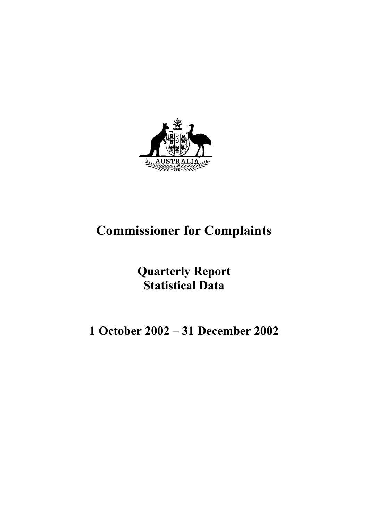

# **Commissioner for Complaints**

**Quarterly Report Statistical Data**

# **1 October 2002 – 31 December 2002**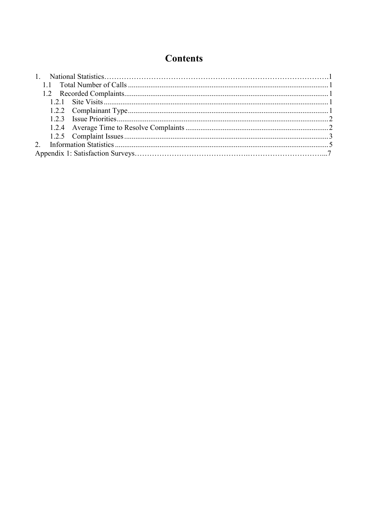## **Contents**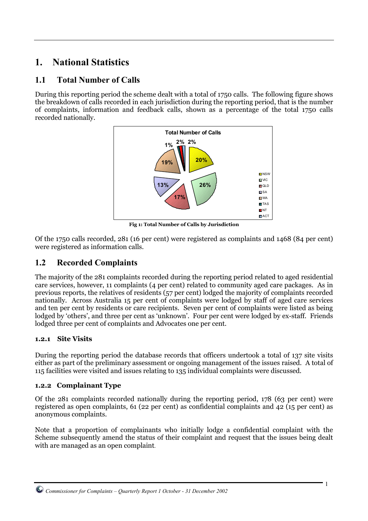### **1. National Statistics**

### **1.1 Total Number of Calls**

During this reporting period the scheme dealt with a total of 1750 calls. The following figure shows the breakdown of calls recorded in each jurisdiction during the reporting period, that is the number of complaints, information and feedback calls, shown as a percentage of the total 1750 calls recorded nationally.



**Fig 1: Total Number of Calls by Jurisdiction**

Of the 1750 calls recorded, 281 (16 per cent) were registered as complaints and 1468 (84 per cent) were registered as information calls.

### **1.2 Recorded Complaints**

The majority of the 281 complaints recorded during the reporting period related to aged residential care services, however, 11 complaints (4 per cent) related to community aged care packages. As in previous reports, the relatives of residents (57 per cent) lodged the majority of complaints recorded nationally. Across Australia 15 per cent of complaints were lodged by staff of aged care services and ten per cent by residents or care recipients. Seven per cent of complaints were listed as being lodged by 'others', and three per cent as 'unknown'. Four per cent were lodged by ex-staff. Friends lodged three per cent of complaints and Advocates one per cent.

#### **1.2.1 Site Visits**

During the reporting period the database records that officers undertook a total of 137 site visits either as part of the preliminary assessment or ongoing management of the issues raised.A total of 115 facilities were visited and issues relating to 135 individual complaints were discussed.

#### **1.2.2 Complainant Type**

Of the 281 complaints recorded nationally during the reporting period, 178 (63 per cent) were registered as open complaints, 61 (22 per cent) as confidential complaints and 42 (15 per cent) as anonymous complaints.

Note that a proportion of complainants who initially lodge a confidential complaint with the Scheme subsequently amend the status of their complaint and request that the issues being dealt with are managed as an open complaint.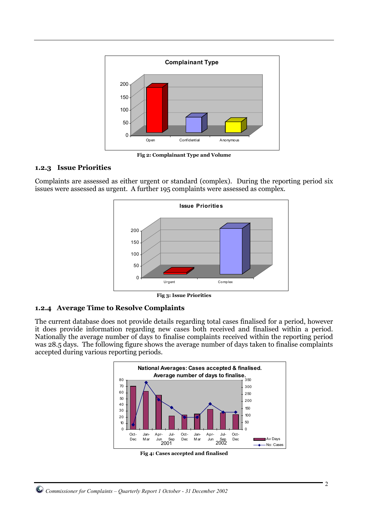

**Fig 2: Complainant Type and Volume**

#### **1.2.3 Issue Priorities**

Complaints are assessed as either urgent or standard (complex). During the reporting period six issues were assessed as urgent. A further 195 complaints were assessed as complex.



**Fig 3: Issue Priorities**

#### **1.2.4 Average Time to Resolve Complaints**

The current database does not provide details regarding total cases finalised for a period, however it does provide information regarding new cases both received and finalised within a period. Nationally the average number of days to finalise complaints received within the reporting period was 28.5 days. The following figure shows the average number of days taken to finalise complaints accepted during various reporting periods.



**Fig 4: Cases accepted and finalised**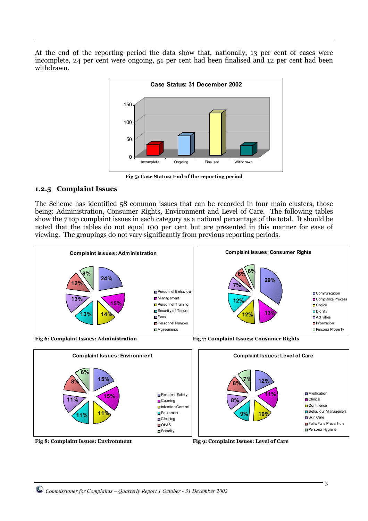At the end of the reporting period the data show that, nationally, 13 per cent of cases were incomplete, 24 per cent were ongoing, 51 per cent had been finalised and 12 per cent had been withdrawn.



**Fig 5: Case Status: End of the reporting period**

#### **1.2.5 Complaint Issues**

The Scheme has identified 58 common issues that can be recorded in four main clusters, those being: Administration, Consumer Rights, Environment and Level of Care. The following tables show the 7 top complaint issues in each category as a national percentage of the total. It should be noted that the tables do not equal 100 per cent but are presented in this manner for ease of viewing. The groupings do not vary significantly from previous reporting periods.





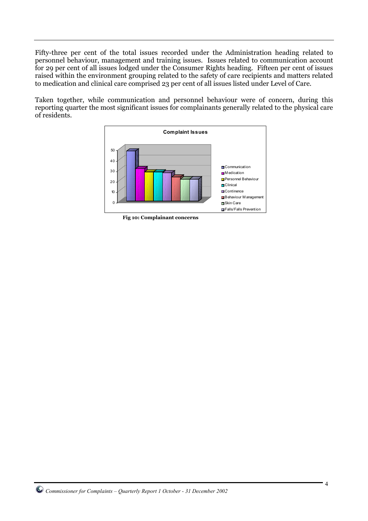Fifty-three per cent of the total issues recorded under the Administration heading related to personnel behaviour, management and training issues. Issues related to communication account for 29 per cent of all issues lodged under the Consumer Rights heading. Fifteen per cent of issues raised within the environment grouping related to the safety of care recipients and matters related to medication and clinical care comprised 23 per cent of all issues listed under Level of Care.

Taken together, while communication and personnel behaviour were of concern, during this reporting quarter the most significant issues for complainants generally related to the physical care of residents.



**Fig 10: Complainant concerns**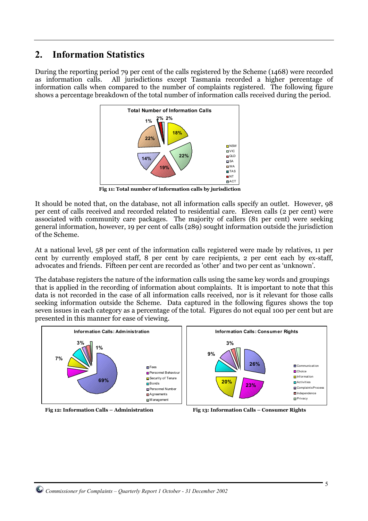### **2. Information Statistics**

During the reporting period 79 per cent of the calls registered by the Scheme (1468) were recorded as information calls. All jurisdictions except Tasmania recorded a higher percentage of information calls when compared to the number of complaints registered. The following figure shows a percentage breakdown of the total number of information calls received during the period.



 **Fig 11: Total number of information calls by jurisdiction**

It should be noted that, on the database, not all information calls specify an outlet. However, 98 per cent of calls received and recorded related to residential care. Eleven calls (2 per cent) were associated with community care packages. The majority of callers (81 per cent) were seeking general information, however, 19 per cent of calls (289) sought information outside the jurisdiction of the Scheme.

At a national level, 58 per cent of the information calls registered were made by relatives, 11 per cent by currently employed staff, 8 per cent by care recipients, 2 per cent each by ex-staff, advocates and friends. Fifteen per cent are recorded as 'other' and two per cent as 'unknown'.

The database registers the nature of the information calls using the same key words and groupings that is applied in the recording of information about complaints. It is important to note that this data is not recorded in the case of all information calls received, nor is it relevant for those calls seeking information outside the Scheme. Data captured in the following figures shows the top seven issues in each category as a percentage of the total. Figures do not equal 100 per cent but are presented in this manner for ease of viewing.



Fig 12: Information Calls – Administration Fig 13: Information Calls – Consumer Rights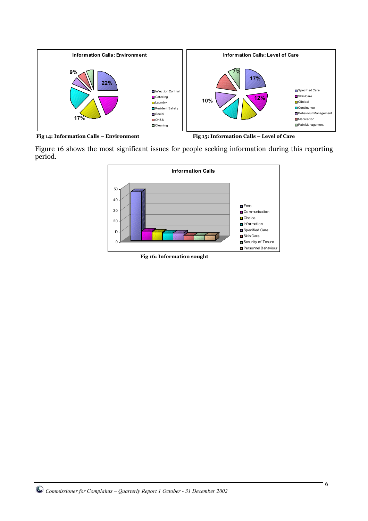

Fig 14: Information Calls – Environment Fig 15: Information Calls – Level of Care

Figure 16 shows the most significant issues for people seeking information during this reporting period.



**Fig 16: Information sought**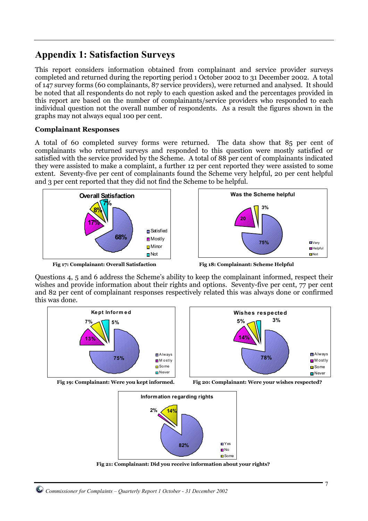### **Appendix 1: Satisfaction Surveys**

This report considers information obtained from complainant and service provider surveys completed and returned during the reporting period 1 October 2002 to 31 December 2002. A total of 147 survey forms (60 complainants, 87 service providers), were returned and analysed. It should be noted that all respondents do not reply to each question asked and the percentages provided in this report are based on the number of complainants/service providers who responded to each individual question not the overall number of respondents. As a result the figures shown in the graphs may not always equal 100 per cent.

#### **Complainant Responses**

A total of 60 completed survey forms were returned. The data show that 85 per cent of complainants who returned surveys and responded to this question were mostly satisfied or satisfied with the service provided by the Scheme. A total of 88 per cent of complainants indicated they were assisted to make a complaint, a further 12 per cent reported they were assisted to some extent. Seventy-five per cent of complainants found the Scheme very helpful, 20 per cent helpful and 3 per cent reported that they did not find the Scheme to be helpful.



**Fig 17: Complainant: Overall Satisfaction Fig 18: Complainant: Scheme Helpful**



Questions 4, 5 and 6 address the Scheme's ability to keep the complainant informed, respect their wishes and provide information about their rights and options. Seventy-five per cent, 77 per cent and 82 per cent of complainant responses respectively related this was always done or confirmed this was done.





**Fig 19: Complainant: Were you kept informed. Fig 20: Complainant: Were your wishes respected?**





**Fig 21: Complainant: Did you receive information about your rights?**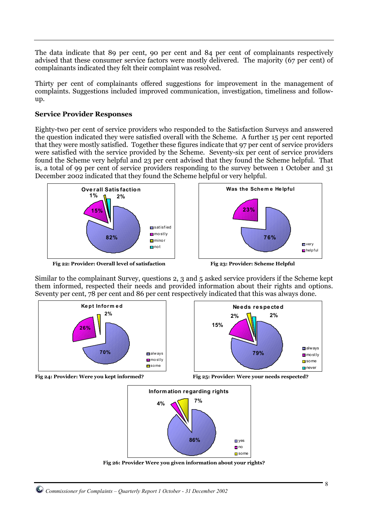The data indicate that 89 per cent, 90 per cent and 84 per cent of complainants respectively advised that these consumer service factors were mostly delivered. The majority (67 per cent) of complainants indicated they felt their complaint was resolved.

Thirty per cent of complainants offered suggestions for improvement in the management of complaints. Suggestions included improved communication, investigation, timeliness and followup.

#### **Service Provider Responses**

Eighty-two per cent of service providers who responded to the Satisfaction Surveys and answered the question indicated they were satisfied overall with the Scheme. A further 15 per cent reported that they were mostly satisfied. Together these figures indicate that 97 per cent of service providers were satisfied with the service provided by the Scheme. Seventy-six per cent of service providers found the Scheme very helpful and 23 per cent advised that they found the Scheme helpful. That is, a total of 99 per cent of service providers responding to the survey between 1 October and 31 December 2002 indicated that they found the Scheme helpful or very helpful.



Fig 22: Provider: Overall level of satisfaction Fig 23: Provider: Scheme Helpful



Similar to the complainant Survey, questions 2, 3 and 5 asked service providers if the Scheme kept them informed, respected their needs and provided information about their rights and options. Seventy per cent, 78 per cent and 86 per cent respectively indicated that this was always done.









**Fig 26: Provider Were you given information about your rights?**